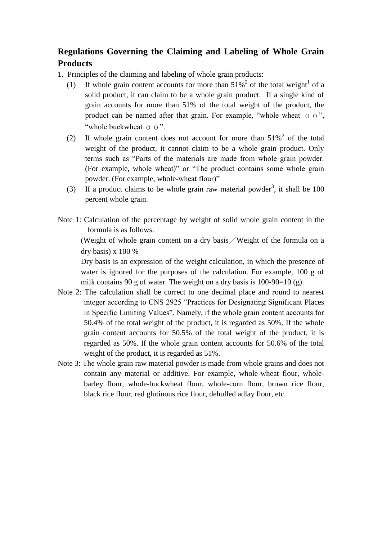## **Regulations Governing the Claiming and Labeling of Whole Grain Products**

- 1. Principles of the claiming and labeling of whole grain products:
	- (1) If whole grain content accounts for more than  $51\%^2$  of the total weight<sup>1</sup> of a solid product, it can claim to be a whole grain product. If a single kind of grain accounts for more than 51% of the total weight of the product, the product can be named after that grain. For example, "whole wheat  $\sigma$   $\sigma$ ", "whole buckwheat o o".
	- (2) If whole grain content does not account for more than  $51\%^2$  of the total weight of the product, it cannot claim to be a whole grain product. Only terms such as "Parts of the materials are made from whole grain powder. (For example, whole wheat)" or "The product contains some whole grain powder. (For example, whole-wheat flour)"
	- (3) If a product claims to be whole grain raw material powder<sup>3</sup>, it shall be 100 percent whole grain.
- Note 1: Calculation of the percentage by weight of solid whole grain content in the formula is as follows.

(Weight of whole grain content on a dry basis/Weight of the formula on a dry basis) x 100 %

Dry basis is an expression of the weight calculation, in which the presence of water is ignored for the purposes of the calculation. For example, 100 g of milk contains 90 g of water. The weight on a dry basis is  $100-90=10$  (g).

- Note 2: The calculation shall be correct to one decimal place and round to nearest integer according to CNS 2925 "Practices for Designating Significant Places in Specific Limiting Values". Namely, if the whole grain content accounts for 50.4% of the total weight of the product, it is regarded as 50%. If the whole grain content accounts for 50.5% of the total weight of the product, it is regarded as 50%. If the whole grain content accounts for 50.6% of the total weight of the product, it is regarded as 51%.
- Note 3: The whole grain raw material powder is made from whole grains and does not contain any material or additive. For example, whole-wheat flour, wholebarley flour, whole-buckwheat flour, whole-corn flour, brown rice flour, black rice flour, red glutinous rice flour, dehulled adlay flour, etc.